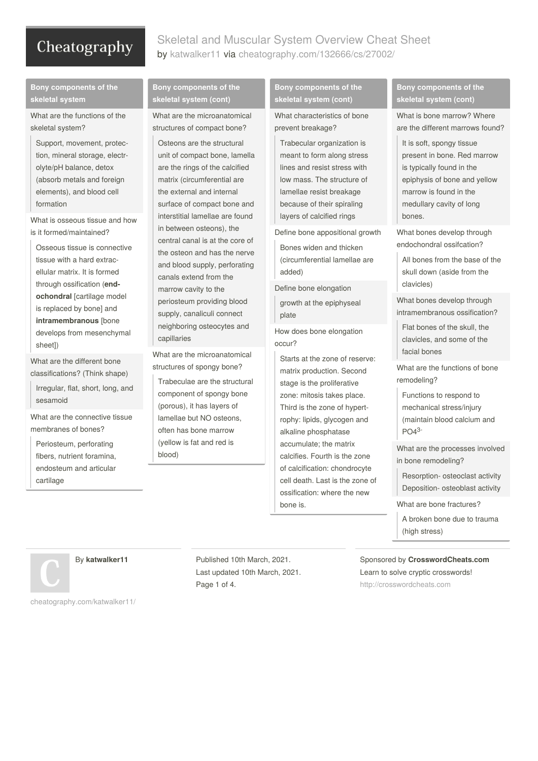### Skeletal and Muscular System Overview Cheat Sheet by [katwalker11](http://www.cheatography.com/katwalker11/) via [cheatography.com/132666/cs/27002/](http://www.cheatography.com/katwalker11/cheat-sheets/skeletal-and-muscular-system-overview)

#### **Bony components of the skeletal system**

What are the functions of the skeletal system?

Support, movement, protec‐ tion, mineral storage, electr‐ olyte/pH balance, detox (absorb metals and foreign elements), and blood cell formation

What is osseous tissue and how is it formed/maintained?

Osseous tissue is connective tissue with a hard extrac‐ ellular matrix. It is formed through ossification (**end‐ ochondral** [cartilage model is replaced by bone] and **intramembranous** [bone develops from mesenchymal sheet])

What are the different bone classifications? (Think shape)

Irregular, flat, short, long, and sesamoid

What are the connective tissue membranes of bones?

Periosteum, perforating fibers, nutrient foramina, endosteum and articular cartilage

#### **Bony components of the skeletal system (cont)**

What are the microanatomical structures of compact bone?

Osteons are the structural unit of compact bone, lamella are the rings of the calcified matrix (circumferential are the external and internal surface of compact bone and interstitial lamellae are found in between osteons), the central canal is at the core of the osteon and has the nerve and blood supply, perforating canals extend from the marrow cavity to the periosteum providing blood supply, canaliculi connect neighboring osteocytes and capillaries

What are the microanatomical structures of spongy bone? Trabeculae are the structural component of spongy bone (porous), it has layers of lamellae but NO osteons, often has bone marrow (yellow is fat and red is blood)

#### **Bony components of the skeletal system (cont)**

What characteristics of bone prevent breakage?

Trabecular organization is meant to form along stress lines and resist stress with low mass. The structure of lamellae resist breakage because of their spiraling layers of calcified rings

Define bone appositional growth

Bones widen and thicken (circumferential lamellae are added)

Define bone elongation

growth at the epiphyseal plate

How does bone elongation occur?

Starts at the zone of reserve: matrix production. Second stage is the proliferative zone: mitosis takes place. Third is the zone of hypert‐ rophy: lipids, glycogen and alkaline phosphatase accumulate; the matrix calcifies. Fourth is the zone of calcification: chondrocyte cell death. Last is the zone of ossification: where the new bone is.

#### **Bony components of the skeletal system (cont)**

What is bone marrow? Where are the different marrows found?

It is soft, spongy tissue present in bone. Red marrow is typically found in the epiphysis of bone and yellow marrow is found in the medullary cavity of long bones.

What bones develop through endochondral ossifcation?

All bones from the base of the skull down (aside from the clavicles)

What bones develop through intramembranous ossification?

Flat bones of the skull, the clavicles, and some of the facial bones

What are the functions of bone remodeling?

Functions to respond to

mechanical stress/injury (maintain blood calcium and PO4 3-

What are the processes involved in bone remodeling?

Resorption- osteoclast activity Deposition- osteoblast activity

What are bone fractures?

A broken bone due to trauma (high stress)

By **katwalker11**

Published 10th March, 2021. Last updated 10th March, 2021. Page 1 of 4.

Sponsored by **CrosswordCheats.com** Learn to solve cryptic crosswords! <http://crosswordcheats.com>

[cheatography.com/katwalker11/](http://www.cheatography.com/katwalker11/)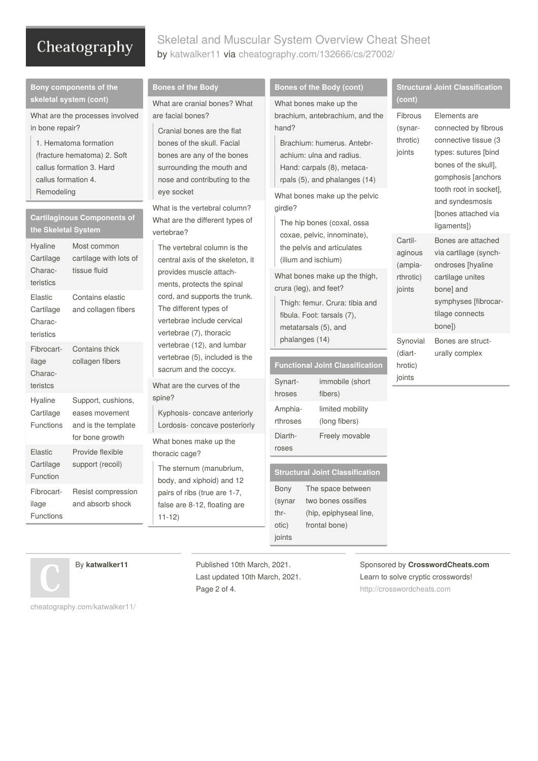## Skeletal and Muscular System Overview Cheat Sheet by [katwalker11](http://www.cheatography.com/katwalker11/) via [cheatography.com/132666/cs/27002/](http://www.cheatography.com/katwalker11/cheat-sheets/skeletal-and-muscular-system-overview)

| Bony components of the                                                                                                                                                                                |                                                         | <b>Bones of the Body</b>                                                                                                                                                                                                                                                                                                               | <b>Bones of the Body (cont)</b>                                                                                                                                                                                                         | <b>Structural Joint Classification</b>                                                           |                                                                                                                                                                                                        |
|-------------------------------------------------------------------------------------------------------------------------------------------------------------------------------------------------------|---------------------------------------------------------|----------------------------------------------------------------------------------------------------------------------------------------------------------------------------------------------------------------------------------------------------------------------------------------------------------------------------------------|-----------------------------------------------------------------------------------------------------------------------------------------------------------------------------------------------------------------------------------------|--------------------------------------------------------------------------------------------------|--------------------------------------------------------------------------------------------------------------------------------------------------------------------------------------------------------|
| skeletal system (cont)<br>What are the processes involved<br>in bone repair?<br>1. Hematoma formation<br>(fracture hematoma) 2. Soft<br>callus formation 3. Hard<br>callus formation 4.<br>Remodeling |                                                         | What are cranial bones? What<br>are facial bones?<br>Cranial bones are the flat<br>bones of the skull. Facial<br>bones are any of the bones<br>surrounding the mouth and<br>nose and contributing to the<br>eye socket<br>What is the vertebral column?                                                                                | What bones make up the<br>brachium, antebrachium, and the<br>hand?<br>Brachium: humerus. Antebr-<br>achium: ulna and radius.<br>Hand: carpals (8), metaca-<br>rpals (5), and phalanges (14)<br>What bones make up the pelvic<br>qirdle? | (cont)<br>Fibrous<br>(synar-<br>throtic)<br>joints                                               | Elements are<br>connected by fibrous<br>connective tissue (3<br>types: sutures [bind<br>bones of the skull],<br>gomphosis [anchors<br>tooth root in socket],<br>and syndesmosis<br>[bones attached via |
| <b>Cartilaginous Components of</b><br>the Skeletal System                                                                                                                                             |                                                         | What are the different types of<br>vertebrae?                                                                                                                                                                                                                                                                                          | The hip bones (coxal, ossa                                                                                                                                                                                                              | ligaments])                                                                                      |                                                                                                                                                                                                        |
| Hyaline<br>Cartilage<br>Charac-<br>teristics                                                                                                                                                          | Most common<br>cartilage with lots of<br>tissue fluid   | The vertebral column is the<br>central axis of the skeleton, it<br>provides muscle attach-<br>ments, protects the spinal<br>cord, and supports the trunk.<br>The different types of<br>vertebrae include cervical<br>vertebrae (7), thoracic<br>vertebrae (12), and lumbar<br>vertebrae (5), included is the<br>sacrum and the coccyx. | coxae, pelvic, innominate),<br>the pelvis and articulates<br>(ilium and ischium)<br>What bones make up the thigh,                                                                                                                       | Cartil-<br>aginous<br>(ampia-<br>rthrotic)<br>joints<br>Synovial<br>(diart-<br>hrotic)<br>joints | Bones are attached<br>via cartilage (synch-<br>ondroses [hyaline<br>cartilage unites<br>bone] and<br>symphyses [fibrocar-<br>tilage connects<br>bone])<br>Bones are struct-<br>urally complex          |
| Elastic<br>Cartilage<br>Charac-<br>teristics                                                                                                                                                          | Contains elastic<br>and collagen fibers                 |                                                                                                                                                                                                                                                                                                                                        | crura (leg), and feet?<br>Thigh: femur. Crura: tibia and<br>fibula. Foot: tarsals (7),<br>metatarsals (5), and                                                                                                                          |                                                                                                  |                                                                                                                                                                                                        |
| Fibrocart-<br>ilage<br>Charac-                                                                                                                                                                        | Contains thick<br>collagen fibers                       |                                                                                                                                                                                                                                                                                                                                        | phalanges (14)<br><b>Functional Joint Classification</b><br>Synart-<br>immobile (short                                                                                                                                                  |                                                                                                  |                                                                                                                                                                                                        |
| teristcs<br>Hyaline                                                                                                                                                                                   | Support, cushions,                                      | What are the curves of the<br>spine?                                                                                                                                                                                                                                                                                                   | hroses<br>fibers)                                                                                                                                                                                                                       |                                                                                                  |                                                                                                                                                                                                        |
| Cartilage<br>Functions                                                                                                                                                                                | eases movement<br>and is the template                   | Kyphosis-concave anteriorly<br>Lordosis-concave posteriorly                                                                                                                                                                                                                                                                            | limited mobility<br>Amphia-<br>(long fibers)<br>rthroses<br>Diarth-<br>Freely movable                                                                                                                                                   |                                                                                                  |                                                                                                                                                                                                        |
| Elastic<br>Cartilage<br>Function                                                                                                                                                                      | for bone growth<br>Provide flexible<br>support (recoil) | What bones make up the<br>thoracic cage?<br>The sternum (manubrium,                                                                                                                                                                                                                                                                    | roses<br><b>Structural Joint Classification</b>                                                                                                                                                                                         |                                                                                                  |                                                                                                                                                                                                        |
| Fibrocart-<br>ilage<br><b>Functions</b>                                                                                                                                                               | Resist compression<br>and absorb shock                  | body, and xiphoid) and 12<br>pairs of ribs (true are 1-7,<br>false are 8-12, floating are<br>$11 - 12$                                                                                                                                                                                                                                 | Bony<br>The space between<br>(synar<br>two bones ossifies<br>thr-<br>(hip, epiphyseal line,<br>otic)<br>frontal bone)                                                                                                                   |                                                                                                  |                                                                                                                                                                                                        |
|                                                                                                                                                                                                       |                                                         |                                                                                                                                                                                                                                                                                                                                        | joints                                                                                                                                                                                                                                  |                                                                                                  |                                                                                                                                                                                                        |



By **katwalker11**

Published 10th March, 2021. Last updated 10th March, 2021. Page 2 of 4.

Sponsored by **CrosswordCheats.com** Learn to solve cryptic crosswords! <http://crosswordcheats.com>

[cheatography.com/katwalker11/](http://www.cheatography.com/katwalker11/)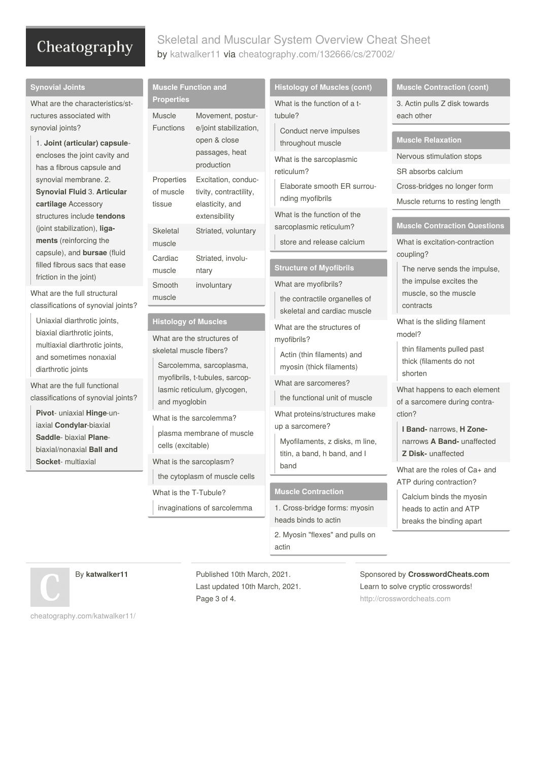## Skeletal and Muscular System Overview Cheat Sheet by [katwalker11](http://www.cheatography.com/katwalker11/) via [cheatography.com/132666/cs/27002/](http://www.cheatography.com/katwalker11/cheat-sheets/skeletal-and-muscular-system-overview)

| <b>Synovial Joints</b>                                                                                             | <b>Muscle Function and</b>                                                                                                                                                                                                                                                                                                                  |                                                                                                          | <b>Histology of Muscles (cont)</b>                                                                                         | <b>Muscle Contraction (cont)</b>                                                                                                                   |
|--------------------------------------------------------------------------------------------------------------------|---------------------------------------------------------------------------------------------------------------------------------------------------------------------------------------------------------------------------------------------------------------------------------------------------------------------------------------------|----------------------------------------------------------------------------------------------------------|----------------------------------------------------------------------------------------------------------------------------|----------------------------------------------------------------------------------------------------------------------------------------------------|
| What are the characteristics/st-<br>ructures associated with                                                       | <b>Properties</b><br><b>Muscle</b><br>Movement, postur-                                                                                                                                                                                                                                                                                     |                                                                                                          | What is the function of a t-<br>tubule?                                                                                    | 3. Actin pulls Z disk towards<br>each other                                                                                                        |
| synovial joints?<br>1. Joint (articular) capsule-                                                                  | <b>Functions</b>                                                                                                                                                                                                                                                                                                                            | e/joint stabilization,<br>open & close<br>passages, heat<br>production                                   | Conduct nerve impulses<br>throughout muscle                                                                                | <b>Muscle Relaxation</b>                                                                                                                           |
| encloses the joint cavity and<br>has a fibrous capsule and                                                         |                                                                                                                                                                                                                                                                                                                                             |                                                                                                          | What is the sarcoplasmic                                                                                                   | Nervous stimulation stops                                                                                                                          |
| synovial membrane. 2.<br><b>Synovial Fluid 3. Articular</b>                                                        | Properties<br>of muscle<br>tissue                                                                                                                                                                                                                                                                                                           | Excitation, conduc-<br>tivity, contractility,<br>elasticity, and<br>extensibility<br>Striated, voluntary | reticulum?<br>Elaborate smooth ER surrou-                                                                                  | SR absorbs calcium<br>Cross-bridges no longer form                                                                                                 |
| cartilage Accessory                                                                                                |                                                                                                                                                                                                                                                                                                                                             |                                                                                                          | nding myofibrils                                                                                                           | Muscle returns to resting length                                                                                                                   |
| structures include tendons<br>(joint stabilization), liga-                                                         | Skeletal                                                                                                                                                                                                                                                                                                                                    |                                                                                                          | What is the function of the<br>sarcoplasmic reticulum?                                                                     | <b>Muscle Contraction Questions</b>                                                                                                                |
| ments (reinforcing the<br>capsule), and <b>bursae</b> (fluid                                                       | muscle                                                                                                                                                                                                                                                                                                                                      |                                                                                                          | store and release calcium                                                                                                  | What is excitation-contraction<br>coupling?                                                                                                        |
| filled fibrous sacs that ease                                                                                      | Cardiac<br>muscle                                                                                                                                                                                                                                                                                                                           | Striated, involu-<br>ntary                                                                               | <b>Structure of Myofibrils</b>                                                                                             | The nerve sends the impulse,                                                                                                                       |
| friction in the joint)<br>What are the full structural<br>classifications of synovial joints?                      | Smooth<br>muscle                                                                                                                                                                                                                                                                                                                            | involuntary                                                                                              | What are myofibrils?<br>the contractile organelles of                                                                      | the impulse excites the<br>muscle, so the muscle<br>contracts                                                                                      |
| Uniaxial diarthrotic joints,<br>biaxial diarthrotic joints,                                                        | <b>Histology of Muscles</b><br>What are the structures of<br>skeletal muscle fibers?<br>Sarcolemma, sarcoplasma,<br>myofibrils, t-tubules, sarcop-<br>lasmic reticulum, glycogen,<br>and myoglobin<br>What is the sarcolemma?<br>plasma membrane of muscle<br>cells (excitable)<br>What is the sarcoplasm?<br>the cytoplasm of muscle cells |                                                                                                          | skeletal and cardiac muscle<br>What are the structures of                                                                  | What is the sliding filament<br>model?<br>thin filaments pulled past<br>thick (filaments do not<br>shorten                                         |
| multiaxial diarthrotic joints,<br>and sometimes nonaxial<br>diarthrotic joints                                     |                                                                                                                                                                                                                                                                                                                                             |                                                                                                          | myofibrils?<br>Actin (thin filaments) and<br>myosin (thick filaments)                                                      |                                                                                                                                                    |
| What are the full functional<br>classifications of synovial joints?                                                |                                                                                                                                                                                                                                                                                                                                             |                                                                                                          | What are sarcomeres?<br>the functional unit of muscle                                                                      | What happens to each element<br>of a sarcomere during contra-                                                                                      |
| Pivot- uniaxial Hinge-un-<br>iaxial Condylar-biaxial<br>Saddle- biaxial Plane-<br>biaxial/nonaxial <b>Ball and</b> |                                                                                                                                                                                                                                                                                                                                             |                                                                                                          | What proteins/structures make<br>up a sarcomere?<br>Myofilaments, z disks, m line,<br>titin, a band, h band, and I<br>band | ction?<br>I Band- narrows, H Zone-<br>narrows A Band- unaffected<br>Z Disk- unaffected<br>What are the roles of Ca+ and<br>ATP during contraction? |
| Socket- multiaxial                                                                                                 |                                                                                                                                                                                                                                                                                                                                             |                                                                                                          |                                                                                                                            |                                                                                                                                                    |
|                                                                                                                    | What is the T-Tubule?                                                                                                                                                                                                                                                                                                                       |                                                                                                          | <b>Muscle Contraction</b>                                                                                                  | Calcium binds the myosin                                                                                                                           |
|                                                                                                                    |                                                                                                                                                                                                                                                                                                                                             | invaginations of sarcolemma                                                                              | 1. Cross-bridge forms: myosin<br>heads binds to actin                                                                      | heads to actin and ATP<br>breaks the binding apart                                                                                                 |
|                                                                                                                    |                                                                                                                                                                                                                                                                                                                                             |                                                                                                          | 2. Myosin "flexes" and pulls on<br>actin                                                                                   |                                                                                                                                                    |

By **katwalker11**

Published 10th March, 2021. Last updated 10th March, 2021. Page 3 of 4.

Sponsored by **CrosswordCheats.com** Learn to solve cryptic crosswords! <http://crosswordcheats.com>

[cheatography.com/katwalker11/](http://www.cheatography.com/katwalker11/)